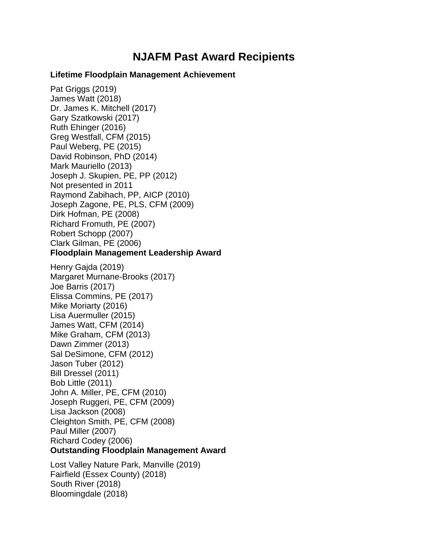## **NJAFM Past Award Recipients**

## **Lifetime Floodplain Management Achievement**

Pat Griggs (2019) James Watt (2018) Dr. James K. Mitchell (2017) Gary Szatkowski (2017) Ruth Ehinger (2016) Greg Westfall, CFM (2015) Paul Weberg, PE (2015) David Robinson, PhD (2014) Mark Mauriello (2013) Joseph J. Skupien, PE, PP (2012) Not presented in 2011 Raymond Zabihach, PP, AICP (2010) Joseph Zagone, PE, PLS, CFM (2009) Dirk Hofman, PE (2008) Richard Fromuth, PE (2007) Robert Schopp (2007) Clark Gilman, PE (2006) **Floodplain Management Leadership Award** 

Henry Gajda (2019) Margaret Murnane-Brooks (2017) Joe Barris (2017) Elissa Commins, PE (2017) Mike Moriarty (2016) Lisa Auermuller (2015) James Watt, CFM (2014) Mike Graham, CFM (2013) Dawn Zimmer (2013) Sal DeSimone, CFM (2012) Jason Tuber (2012) Bill Dressel (2011) Bob Little (2011) John A. Miller, PE, CFM (2010) Joseph Ruggeri, PE, CFM (2009) Lisa Jackson (2008) Cleighton Smith, PE, CFM (2008) Paul Miller (2007) Richard Codey (2006) **Outstanding Floodplain Management Award** 

Lost Valley Nature Park, Manville (2019) Fairfield (Essex County) (2018) South River (2018) Bloomingdale (2018)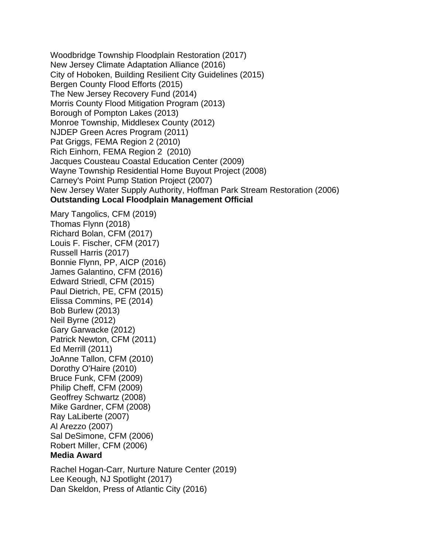Woodbridge Township Floodplain Restoration (2017) New Jersey Climate Adaptation Alliance (2016) City of Hoboken, Building Resilient City Guidelines (2015) Bergen County Flood Efforts (2015) The New Jersey Recovery Fund (2014) Morris County Flood Mitigation Program (2013) Borough of Pompton Lakes (2013) Monroe Township, Middlesex County (2012) NJDEP Green Acres Program (2011) Pat Griggs, FEMA Region 2 (2010) Rich Einhorn, FEMA Region 2 (2010) Jacques Cousteau Coastal Education Center (2009) Wayne Township Residential Home Buyout Project (2008) Carney's Point Pump Station Project (2007) New Jersey Water Supply Authority, Hoffman Park Stream Restoration (2006) **Outstanding Local Floodplain Management Official** 

Mary Tangolics, CFM (2019) Thomas Flynn (2018) Richard Bolan, CFM (2017) Louis F. Fischer, CFM (2017) Russell Harris (2017) Bonnie Flynn, PP, AICP (2016) James Galantino, CFM (2016) Edward Striedl, CFM (2015) Paul Dietrich, PE, CFM (2015) Elissa Commins, PE (2014) Bob Burlew (2013) Neil Byrne (2012) Gary Garwacke (2012) Patrick Newton, CFM (2011) Ed Merrill (2011) JoAnne Tallon, CFM (2010) Dorothy O'Haire (2010) Bruce Funk, CFM (2009) Philip Cheff, CFM (2009) Geoffrey Schwartz (2008) Mike Gardner, CFM (2008) Ray LaLiberte (2007) Al Arezzo (2007) Sal DeSimone, CFM (2006) Robert Miller, CFM (2006) **Media Award** 

Rachel Hogan-Carr, Nurture Nature Center (2019) Lee Keough, NJ Spotlight (2017) Dan Skeldon, Press of Atlantic City (2016)